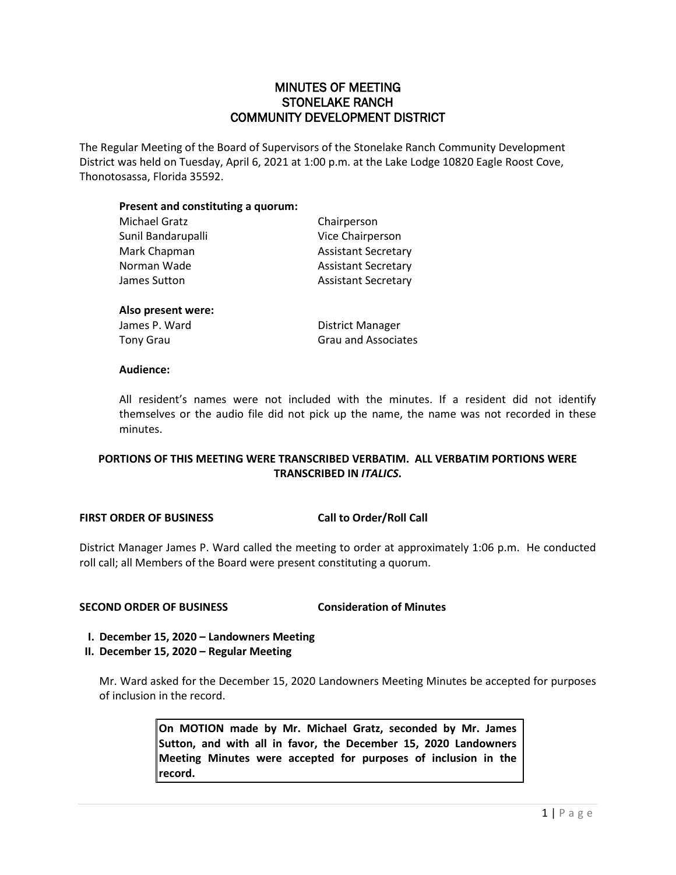## MINUTES OF MEETING STONELAKE RANCH COMMUNITY DEVELOPMENT DISTRICT

The Regular Meeting of the Board of Supervisors of the Stonelake Ranch Community Development District was held on Tuesday, April 6, 2021 at 1:00 p.m. at the Lake Lodge 10820 Eagle Roost Cove, Thonotosassa, Florida 35592.

## **Present and constituting a quorum:**

| Michael Gratz      | Chairperson                |
|--------------------|----------------------------|
| Sunil Bandarupalli | Vice Chairperson           |
| Mark Chapman       | <b>Assistant Secretary</b> |
| Norman Wade        | <b>Assistant Secretary</b> |
| James Sutton       | <b>Assistant Secretary</b> |
| Also present were: |                            |
| $l = 1$            | District Marcoco           |

James P. Ward **District Manager** Tony Grau Cassacres and Associates Crau and Associates

## **Audience:**

All resident's names were not included with the minutes. If a resident did not identify themselves or the audio file did not pick up the name, the name was not recorded in these minutes.

## **PORTIONS OF THIS MEETING WERE TRANSCRIBED VERBATIM. ALL VERBATIM PORTIONS WERE TRANSCRIBED IN** *ITALICS***.**

## **FIRST ORDER OF BUSINESS Call to Order/Roll Call**

District Manager James P. Ward called the meeting to order at approximately 1:06 p.m. He conducted roll call; all Members of the Board were present constituting a quorum.

## **SECOND ORDER OF BUSINESS Consideration of Minutes**

**I. December 15, 2020 – Landowners Meeting**

## **II. December 15, 2020 – Regular Meeting**

Mr. Ward asked for the December 15, 2020 Landowners Meeting Minutes be accepted for purposes of inclusion in the record.

> **On MOTION made by Mr. Michael Gratz, seconded by Mr. James Sutton, and with all in favor, the December 15, 2020 Landowners Meeting Minutes were accepted for purposes of inclusion in the record.**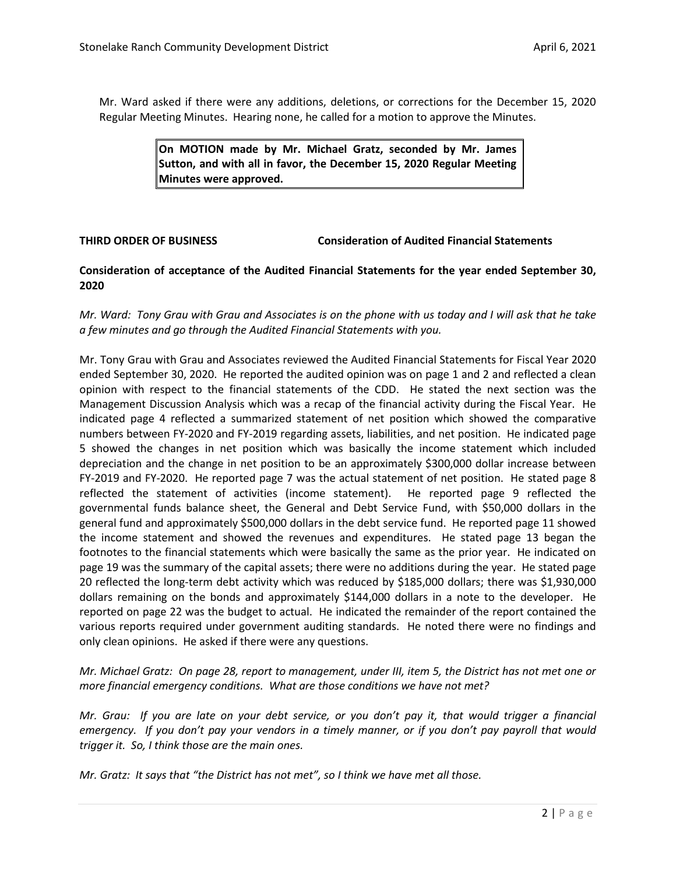Mr. Ward asked if there were any additions, deletions, or corrections for the December 15, 2020 Regular Meeting Minutes. Hearing none, he called for a motion to approve the Minutes.

> **On MOTION made by Mr. Michael Gratz, seconded by Mr. James Sutton, and with all in favor, the December 15, 2020 Regular Meeting Minutes were approved.**

**THIRD ORDER OF BUSINESS Consideration of Audited Financial Statements**

## **Consideration of acceptance of the Audited Financial Statements for the year ended September 30, 2020**

## *Mr. Ward: Tony Grau with Grau and Associates is on the phone with us today and I will ask that he take a few minutes and go through the Audited Financial Statements with you.*

Mr. Tony Grau with Grau and Associates reviewed the Audited Financial Statements for Fiscal Year 2020 ended September 30, 2020. He reported the audited opinion was on page 1 and 2 and reflected a clean opinion with respect to the financial statements of the CDD. He stated the next section was the Management Discussion Analysis which was a recap of the financial activity during the Fiscal Year. He indicated page 4 reflected a summarized statement of net position which showed the comparative numbers between FY-2020 and FY-2019 regarding assets, liabilities, and net position. He indicated page 5 showed the changes in net position which was basically the income statement which included depreciation and the change in net position to be an approximately \$300,000 dollar increase between FY-2019 and FY-2020. He reported page 7 was the actual statement of net position. He stated page 8 reflected the statement of activities (income statement). He reported page 9 reflected the governmental funds balance sheet, the General and Debt Service Fund, with \$50,000 dollars in the general fund and approximately \$500,000 dollars in the debt service fund. He reported page 11 showed the income statement and showed the revenues and expenditures. He stated page 13 began the footnotes to the financial statements which were basically the same as the prior year. He indicated on page 19 was the summary of the capital assets; there were no additions during the year. He stated page 20 reflected the long-term debt activity which was reduced by \$185,000 dollars; there was \$1,930,000 dollars remaining on the bonds and approximately \$144,000 dollars in a note to the developer. He reported on page 22 was the budget to actual. He indicated the remainder of the report contained the various reports required under government auditing standards. He noted there were no findings and only clean opinions. He asked if there were any questions.

*Mr. Michael Gratz: On page 28, report to management, under III, item 5, the District has not met one or more financial emergency conditions. What are those conditions we have not met?*

*Mr. Grau: If you are late on your debt service, or you don't pay it, that would trigger a financial emergency. If you don't pay your vendors in a timely manner, or if you don't pay payroll that would trigger it. So, I think those are the main ones.* 

*Mr. Gratz: It says that "the District has not met", so I think we have met all those.*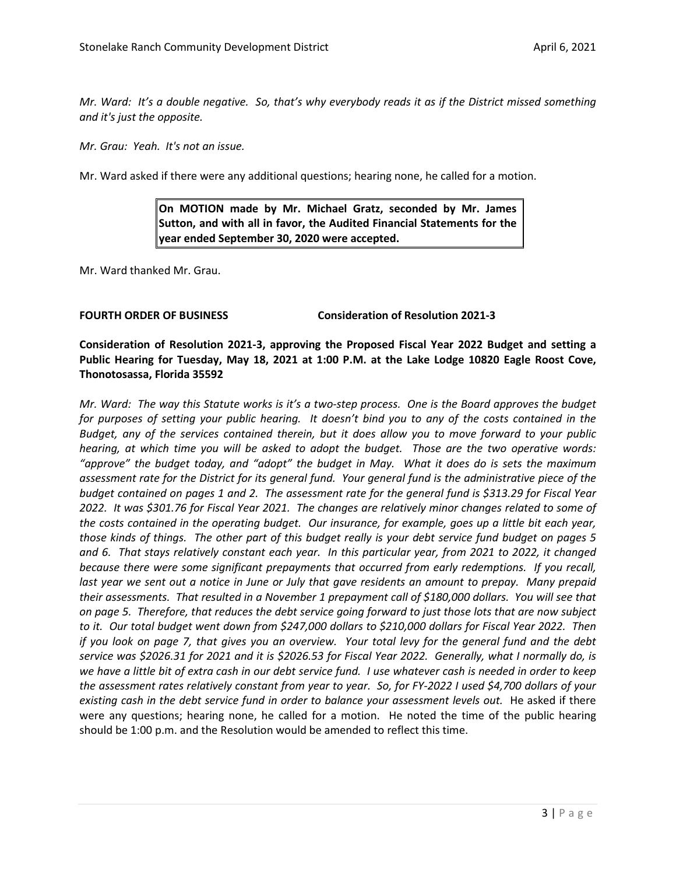*Mr. Ward: It's a double negative. So, that's why everybody reads it as if the District missed something and it's just the opposite.* 

*Mr. Grau: Yeah. It's not an issue.* 

Mr. Ward asked if there were any additional questions; hearing none, he called for a motion.

**On MOTION made by Mr. Michael Gratz, seconded by Mr. James Sutton, and with all in favor, the Audited Financial Statements for the year ended September 30, 2020 were accepted.**

Mr. Ward thanked Mr. Grau.

### **FOURTH ORDER OF BUSINESS Consideration of Resolution 2021-3**

**Consideration of Resolution 2021-3, approving the Proposed Fiscal Year 2022 Budget and setting a Public Hearing for Tuesday, May 18, 2021 at 1:00 P.M. at the Lake Lodge 10820 Eagle Roost Cove, Thonotosassa, Florida 35592**

*Mr. Ward: The way this Statute works is it's a two-step process. One is the Board approves the budget for purposes of setting your public hearing. It doesn't bind you to any of the costs contained in the Budget, any of the services contained therein, but it does allow you to move forward to your public hearing, at which time you will be asked to adopt the budget. Those are the two operative words: "approve" the budget today, and "adopt" the budget in May. What it does do is sets the maximum assessment rate for the District for its general fund. Your general fund is the administrative piece of the budget contained on pages 1 and 2. The assessment rate for the general fund is \$313.29 for Fiscal Year 2022. It was \$301.76 for Fiscal Year 2021. The changes are relatively minor changes related to some of the costs contained in the operating budget. Our insurance, for example, goes up a little bit each year, those kinds of things. The other part of this budget really is your debt service fund budget on pages 5 and 6. That stays relatively constant each year. In this particular year, from 2021 to 2022, it changed because there were some significant prepayments that occurred from early redemptions. If you recall, last year we sent out a notice in June or July that gave residents an amount to prepay. Many prepaid their assessments. That resulted in a November 1 prepayment call of \$180,000 dollars. You will see that on page 5. Therefore, that reduces the debt service going forward to just those lots that are now subject to it. Our total budget went down from \$247,000 dollars to \$210,000 dollars for Fiscal Year 2022. Then if you look on page 7, that gives you an overview. Your total levy for the general fund and the debt service was \$2026.31 for 2021 and it is \$2026.53 for Fiscal Year 2022. Generally, what I normally do, is we have a little bit of extra cash in our debt service fund. I use whatever cash is needed in order to keep the assessment rates relatively constant from year to year. So, for FY-2022 I used \$4,700 dollars of your*  existing cash in the debt service fund in order to balance your assessment levels out. He asked if there were any questions; hearing none, he called for a motion. He noted the time of the public hearing should be 1:00 p.m. and the Resolution would be amended to reflect this time.